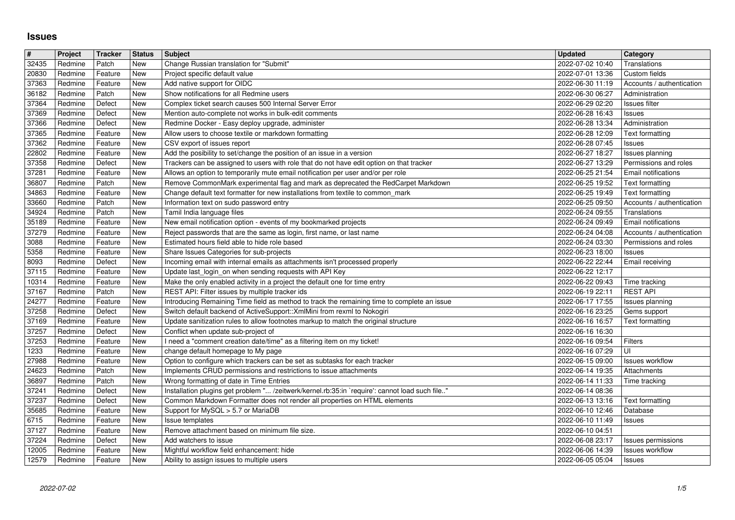## **Issues**

| $\pmb{\#}$<br>32435 | Project<br>Redmine | Tracker<br>Patch   | <b>Status</b><br>New | <b>Subject</b><br>Change Russian translation for "Submit"                                                                                                             | <b>Updated</b><br>2022-07-02 10:40                        | Category<br>Translations                           |
|---------------------|--------------------|--------------------|----------------------|-----------------------------------------------------------------------------------------------------------------------------------------------------------------------|-----------------------------------------------------------|----------------------------------------------------|
| 20830               | Redmine            | Feature            | <b>New</b>           | Project specific default value                                                                                                                                        | 2022-07-01 13:36                                          | Custom fields                                      |
| 37363<br>36182      | Redmine<br>Redmine | Feature<br>Patch   | New<br>New           | Add native support for OIDC<br>Show notifications for all Redmine users                                                                                               | 2022-06-30 11:19<br>2022-06-30 06:27                      | Accounts / authentication<br>Administration        |
| 37364               | Redmine            | Defect             | New                  | Complex ticket search causes 500 Internal Server Error                                                                                                                | 2022-06-29 02:20                                          | Issues filter                                      |
| 37369<br>37366      | Redmine<br>Redmine | Defect<br>Defect   | New<br>New           | Mention auto-complete not works in bulk-edit comments<br>Redmine Docker - Easy deploy upgrade, administer                                                             | 2022-06-28 16:43<br>2022-06-28 13:34                      | Issues<br>Administration                           |
| 37365               | Redmine            | Feature            | New                  | Allow users to choose textile or markdown formatting                                                                                                                  | 2022-06-28 12:09                                          | Text formatting                                    |
| 37362<br>22802      | Redmine<br>Redmine | Feature<br>Feature | New<br>New           | CSV export of issues report<br>Add the posibility to set/change the position of an issue in a version                                                                 | 2022-06-28 07:45<br>2022-06-27 18:27                      | Issues<br>Issues planning                          |
| 37358               | Redmine            | Defect             | New                  | Trackers can be assigned to users with role that do not have edit option on that tracker                                                                              | 2022-06-27 13:29                                          | Permissions and roles                              |
| 37281<br>36807      | Redmine<br>Redmine | Feature<br>Patch   | <b>New</b><br>New    | Allows an option to temporarily mute email notification per user and/or per role<br>Remove CommonMark experimental flag and mark as deprecated the RedCarpet Markdown | 2022-06-25 21:54<br>2022-06-25 19:52                      | Email notifications<br>Text formatting             |
| 34863               | Redmine            | Feature            | New                  | Change default text formatter for new installations from textile to common_mark                                                                                       | 2022-06-25 19:49                                          | Text formatting                                    |
| 33660<br>34924      | Redmine<br>Redmine | Patch<br>Patch     | New<br>New           | Information text on sudo password entry<br>Tamil India language files                                                                                                 | 2022-06-25 09:50<br>2022-06-24 09:55                      | Accounts / authentication<br>Translations          |
| 35189               | Redmine            | Feature            | New                  | New email notification option - events of my bookmarked projects                                                                                                      | 2022-06-24 09:49                                          | Email notifications                                |
| 37279<br>3088       | Redmine<br>Redmine | Feature<br>Feature | New<br>New           | Reject passwords that are the same as login, first name, or last name<br>Estimated hours field able to hide role based                                                | 2022-06-24 04:08<br>2022-06-24 03:30                      | Accounts / authentication<br>Permissions and roles |
| 5358                | Redmine            | Feature            | New                  | Share Issues Categories for sub-projects                                                                                                                              | 2022-06-23 18:00                                          | Issues                                             |
| 8093<br>37115       | Redmine<br>Redmine | Defect<br>Feature  | New<br>New           | Incoming email with internal emails as attachments isn't processed properly<br>Update last_login_on when sending requests with API Key                                | 2022-06-22 22:44<br>2022-06-22 12:17                      | <b>Email receiving</b>                             |
| 10314<br>37167      | Redmine<br>Redmine | Feature<br>Patch   | New<br>New           | Make the only enabled activity in a project the default one for time entry<br>REST API: Filter issues by multiple tracker ids                                         | 2022-06-22 09:43<br>2022-06-19 22:11                      | Time tracking<br><b>REST API</b>                   |
| 24277               | Redmine            | Feature            | New                  | Introducing Remaining Time field as method to track the remaining time to complete an issue                                                                           | 2022-06-17 17:55                                          | Issues planning                                    |
| 37258<br>37169      | Redmine<br>Redmine | Defect<br>Feature  | New<br>New           | Switch default backend of ActiveSupport:: XmlMini from rexml to Nokogiri<br>Update sanitization rules to allow footnotes markup to match the original structure       | 2022-06-16 23:25<br>2022-06-16 16:57                      | Gems support<br>Text formatting                    |
| 37257               | Redmine            | Defect             | New                  | Conflict when update sub-project of                                                                                                                                   | 2022-06-16 16:30                                          |                                                    |
| 37253<br>1233       | Redmine<br>Redmine | Feature<br>Feature | New<br>New           | I need a "comment creation date/time" as a filtering item on my ticket!<br>change default homepage to My page                                                         | 2022-06-16 09:54<br>2022-06-16 07:29                      | Filters<br>UI                                      |
| 27988               | Redmine            | Feature            | New                  | Option to configure which trackers can be set as subtasks for each tracker                                                                                            | 2022-06-15 09:00                                          | <b>Issues workflow</b>                             |
| 24623<br>36897      | Redmine<br>Redmine | Patch<br>Patch     | New<br>New           | Implements CRUD permissions and restrictions to issue attachments<br>Wrong formatting of date in Time Entries                                                         | 2022-06-14 19:35<br>2022-06-14 11:33                      | Attachments<br>Time tracking                       |
| 37241               | Redmine            | Defect             | New                  | Installation plugins get problem " /zeitwerk/kernel.rb:35:in `require': cannot load such file"                                                                        | 2022-06-14 08:36                                          |                                                    |
| 37237<br>35685      | Redmine<br>Redmine | Defect<br>Feature  | New<br>New           | Common Markdown Formatter does not render all properties on HTML elements<br>Support for MySQL > 5.7 or MariaDB                                                       | 2022-06-13 13:16<br>2022-06-10 12:46                      | Text formatting<br>Database                        |
| 6715                | Redmine            | Feature            | New                  | Issue templates                                                                                                                                                       | 2022-06-10 11:49                                          | Issues                                             |
| 37127<br>37224      | Redmine<br>Redmine | Feature<br>Defect  | New<br>New           | Remove attachment based on minimum file size.<br>Add watchers to issue                                                                                                | 2022-06-10 04:51<br>2022-06-08 23:17   Issues permissions |                                                    |
| 12005<br>12579      | Redmine<br>Redmine | Feature<br>Feature | New<br>New           | Mightful workflow field enhancement: hide<br>Ability to assign issues to multiple users                                                                               | 2022-06-06 14:39<br>2022-06-05 05:04                      | <b>Issues workflow</b><br><b>Issues</b>            |
|                     |                    |                    |                      |                                                                                                                                                                       |                                                           |                                                    |
|                     |                    |                    |                      |                                                                                                                                                                       |                                                           |                                                    |
|                     |                    |                    |                      |                                                                                                                                                                       |                                                           |                                                    |
|                     |                    |                    |                      |                                                                                                                                                                       |                                                           |                                                    |
|                     |                    |                    |                      |                                                                                                                                                                       |                                                           |                                                    |
|                     |                    |                    |                      |                                                                                                                                                                       |                                                           |                                                    |
|                     |                    |                    |                      |                                                                                                                                                                       |                                                           |                                                    |
|                     |                    |                    |                      |                                                                                                                                                                       |                                                           |                                                    |
|                     |                    |                    |                      |                                                                                                                                                                       |                                                           |                                                    |
|                     |                    |                    |                      |                                                                                                                                                                       |                                                           |                                                    |
|                     |                    |                    |                      |                                                                                                                                                                       |                                                           |                                                    |
|                     |                    |                    |                      |                                                                                                                                                                       |                                                           |                                                    |
|                     |                    |                    |                      |                                                                                                                                                                       |                                                           |                                                    |
|                     |                    |                    |                      |                                                                                                                                                                       |                                                           |                                                    |
|                     |                    |                    |                      |                                                                                                                                                                       |                                                           |                                                    |
|                     |                    |                    |                      |                                                                                                                                                                       |                                                           |                                                    |
|                     |                    |                    |                      |                                                                                                                                                                       |                                                           |                                                    |
|                     |                    |                    |                      |                                                                                                                                                                       |                                                           |                                                    |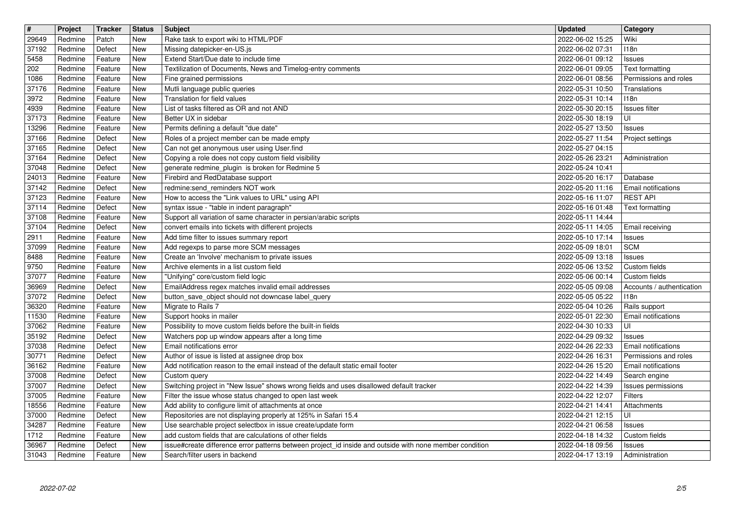| $\overline{\mathbf{H}}$<br>29649 | Project<br>Redmine | Tracker<br>Patch   | <b>Status</b><br>New     | Subject<br>Rake task to export wiki to HTML/PDF                                                                                                                    | <b>Updated</b><br>2022-06-02 15:25   | Category<br>Wiki                             |
|----------------------------------|--------------------|--------------------|--------------------------|--------------------------------------------------------------------------------------------------------------------------------------------------------------------|--------------------------------------|----------------------------------------------|
| 37192                            | Redmine            | Defect             | New                      | Missing datepicker-en-US.js                                                                                                                                        | 2022-06-02 07:31                     | 118n                                         |
| 5458<br>202                      | Redmine<br>Redmine | Feature<br>Feature | New<br><b>New</b>        | Extend Start/Due date to include time<br>Textilization of Documents, News and Timelog-entry comments                                                               | 2022-06-01 09:12<br>2022-06-01 09:05 | Issues<br>Text formatting                    |
| 1086                             | Redmine            | Feature            | New                      | Fine grained permissions                                                                                                                                           | 2022-06-01 08:56                     | Permissions and roles                        |
| 37176<br>3972                    | Redmine<br>Redmine | Feature<br>Feature | <b>New</b><br><b>New</b> | Mutli language public queries<br>Translation for field values                                                                                                      | 2022-05-31 10:50<br>2022-05-31 10:14 | Translations<br>118n                         |
| 4939<br>37173                    | Redmine            | Feature            | New                      | List of tasks filtered as OR and not AND<br>Better UX in sidebar                                                                                                   | 2022-05-30 20:15                     | Issues filter                                |
| 13296                            | Redmine<br>Redmine | Feature<br>Feature | New<br>New               | Permits defining a default "due date"                                                                                                                              | 2022-05-30 18:19<br>2022-05-27 13:50 | UI<br>Issues                                 |
| 37166<br>37165                   | Redmine<br>Redmine | Defect<br>Defect   | New<br>New               | Roles of a project member can be made empty<br>Can not get anonymous user using User.find                                                                          | 2022-05-27 11:54<br>2022-05-27 04:15 | Project settings                             |
| 37164                            | Redmine            | Defect             | New                      | Copying a role does not copy custom field visibility                                                                                                               | 2022-05-26 23:21                     | Administration                               |
| 37048<br>24013                   | Redmine<br>Redmine | Defect<br>Feature  | New<br>New               | generate redmine_plugin is broken for Redmine 5<br>Firebird and RedDatabase support                                                                                | 2022-05-24 10:41<br>2022-05-20 16:17 | Database                                     |
| 37142                            | Redmine            | Defect             | New                      | redmine:send_reminders NOT work                                                                                                                                    | 2022-05-20 11:16                     | <b>Email notifications</b>                   |
| 37123<br>37114                   | Redmine<br>Redmine | Feature<br>Defect  | New<br>New               | How to access the "Link values to URL" using API<br>syntax issue - "table in indent paragraph"                                                                     | 2022-05-16 11:07<br>2022-05-16 01:48 | <b>REST API</b><br>Text formatting           |
| 37108<br>37104                   | Redmine<br>Redmine | Feature<br>Defect  | New<br>New               | Support all variation of same character in persian/arabic scripts<br>convert emails into tickets with different projects                                           | 2022-05-11 14:44<br>2022-05-11 14:05 | Email receiving                              |
| 2911                             | Redmine            | Feature            | New                      | Add time filter to issues summary report                                                                                                                           | 2022-05-10 17:14                     | Issues                                       |
| 37099<br>8488                    | Redmine<br>Redmine | Feature<br>Feature | New<br>New               | Add regexps to parse more SCM messages<br>Create an 'Involve' mechanism to private issues                                                                          | 2022-05-09 18:01<br>2022-05-09 13:18 | <b>SCM</b><br>Issues                         |
| 9750                             | Redmine            | Feature            | New                      | Archive elements in a list custom field                                                                                                                            | 2022-05-06 13:52                     | Custom fields                                |
| 37077<br>36969                   | Redmine<br>Redmine | Feature<br>Defect  | New<br>New               | "Unifying" core/custom field logic<br>EmailAddress regex matches invalid email addresses                                                                           | 2022-05-06 00:14<br>2022-05-05 09:08 | Custom fields<br>Accounts / authentication   |
| 37072<br>36320                   | Redmine<br>Redmine | Defect<br>Feature  | New<br>New               | button_save_object should not downcase label_query<br>Migrate to Rails 7                                                                                           | 2022-05-05 05:22<br>2022-05-04 10:26 | 118n<br>Rails support                        |
| 11530                            | Redmine            | Feature            | <b>New</b>               | Support hooks in mailer                                                                                                                                            | 2022-05-01 22:30                     | <b>Email notifications</b>                   |
| 37062<br>35192                   | Redmine<br>Redmine | Feature<br>Defect  | New<br>New               | Possibility to move custom fields before the built-in fields<br>Watchers pop up window appears after a long time                                                   | 2022-04-30 10:33<br>2022-04-29 09:32 | l UI<br>Issues                               |
| 37038                            | Redmine            | Defect             | New                      | Email notifications error                                                                                                                                          | 2022-04-26 22:33                     | Email notifications                          |
| 30771<br>36162                   | Redmine<br>Redmine | Defect<br>Feature  | New<br>New               | Author of issue is listed at assignee drop box<br>Add notification reason to the email instead of the default static email footer                                  | 2022-04-26 16:31<br>2022-04-26 15:20 | Permissions and roles<br>Email notifications |
| 37008                            | Redmine            | Defect             | New                      | Custom query                                                                                                                                                       | 2022-04-22 14:49                     | Search engine                                |
| 37007<br>37005                   | Redmine<br>Redmine | Defect<br>Feature  | New<br>New               | Switching project in "New Issue" shows wrong fields and uses disallowed default tracker<br>Filter the issue whose status changed to open last week                 | 2022-04-22 14:39<br>2022-04-22 12:07 | Issues permissions<br>Filters                |
| 18556<br>37000                   | Redmine<br>Redmine | Feature<br>Defect  | New<br>New               | Add ability to configure limit of attachments at once<br>Repositories are not displaying properly at 125% in Safari 15.4                                           | 2022-04-21 14:41<br>2022-04-21 12:15 | Attachments<br> U                            |
| 34287                            | Redmine            | Feature            | New                      | Use searchable project selectbox in issue create/update form                                                                                                       | 2022-04-21 06:58                     | <b>Issues</b>                                |
| 1712<br>36967                    | Redmine<br>Redmine | Feature<br>Defect  | New<br>New               | add custom fields that are calculations of other fields<br>issue#create difference error patterns between project_id inside and outside with none member condition | 2022-04-18 14:32<br>2022-04-18 09:56 | Custom fields<br>Issues                      |
| 31043                            | Redmine            | Feature            | New                      | Search/filter users in backend                                                                                                                                     | 2022-04-17 13:19                     | Administration                               |
|                                  |                    |                    |                          |                                                                                                                                                                    |                                      |                                              |
|                                  |                    |                    |                          |                                                                                                                                                                    |                                      |                                              |
|                                  |                    |                    |                          |                                                                                                                                                                    |                                      |                                              |
|                                  |                    |                    |                          |                                                                                                                                                                    |                                      |                                              |
|                                  |                    |                    |                          |                                                                                                                                                                    |                                      |                                              |
|                                  |                    |                    |                          |                                                                                                                                                                    |                                      |                                              |
|                                  |                    |                    |                          |                                                                                                                                                                    |                                      |                                              |
|                                  |                    |                    |                          |                                                                                                                                                                    |                                      |                                              |
|                                  |                    |                    |                          |                                                                                                                                                                    |                                      |                                              |
|                                  |                    |                    |                          |                                                                                                                                                                    |                                      |                                              |
|                                  |                    |                    |                          |                                                                                                                                                                    |                                      |                                              |
|                                  |                    |                    |                          |                                                                                                                                                                    |                                      |                                              |
|                                  |                    |                    |                          |                                                                                                                                                                    |                                      |                                              |
|                                  |                    |                    |                          |                                                                                                                                                                    |                                      |                                              |
|                                  |                    |                    |                          |                                                                                                                                                                    |                                      |                                              |
|                                  |                    |                    |                          |                                                                                                                                                                    |                                      |                                              |
|                                  |                    |                    |                          |                                                                                                                                                                    |                                      |                                              |
|                                  |                    |                    |                          |                                                                                                                                                                    |                                      |                                              |
|                                  |                    |                    |                          |                                                                                                                                                                    |                                      |                                              |
|                                  |                    |                    |                          |                                                                                                                                                                    |                                      |                                              |
|                                  |                    |                    |                          |                                                                                                                                                                    |                                      |                                              |
|                                  |                    |                    |                          |                                                                                                                                                                    |                                      |                                              |
|                                  |                    |                    |                          |                                                                                                                                                                    |                                      |                                              |
|                                  |                    |                    |                          |                                                                                                                                                                    |                                      |                                              |
|                                  |                    |                    |                          |                                                                                                                                                                    |                                      |                                              |
|                                  |                    |                    |                          |                                                                                                                                                                    |                                      |                                              |
|                                  |                    |                    |                          |                                                                                                                                                                    |                                      |                                              |
|                                  |                    |                    |                          |                                                                                                                                                                    |                                      |                                              |
|                                  |                    |                    |                          |                                                                                                                                                                    |                                      |                                              |
|                                  |                    |                    |                          |                                                                                                                                                                    |                                      |                                              |
|                                  |                    |                    |                          |                                                                                                                                                                    |                                      |                                              |
|                                  |                    |                    |                          |                                                                                                                                                                    |                                      |                                              |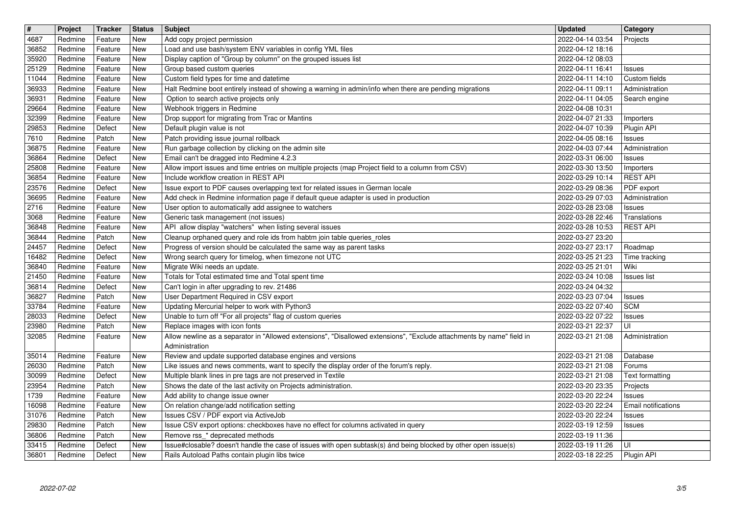| $\boxed{\texttt{#}}$ | Project            | <b>Tracker</b>     | <b>Status</b>            | Subject                                                                                                                                                                 | <b>Updated</b>                       | Category                             |
|----------------------|--------------------|--------------------|--------------------------|-------------------------------------------------------------------------------------------------------------------------------------------------------------------------|--------------------------------------|--------------------------------------|
| 4687                 | Redmine            | Feature            | New                      | Add copy project permission                                                                                                                                             | 2022-04-14 03:54                     | Projects                             |
| 36852<br>35920       | Redmine<br>Redmine | Feature<br>Feature | New<br><b>New</b>        | Load and use bash/system ENV variables in config YML files<br>Display caption of "Group by column" on the grouped issues list                                           | 2022-04-12 18:16<br>2022-04-12 08:03 |                                      |
| 25129                | Redmine            | Feature            | <b>New</b>               | Group based custom queries                                                                                                                                              | 2022-04-11 16:41                     | <b>Issues</b>                        |
| 11044                | Redmine            | Feature            | New                      | Custom field types for time and datetime                                                                                                                                | 2022-04-11 14:10                     | Custom fields                        |
| 36933                | Redmine            | Feature            | New                      | Halt Redmine boot entirely instead of showing a warning in admin/info when there are pending migrations                                                                 | 2022-04-11 09:11                     | Administration                       |
| 36931<br>29664       | Redmine<br>Redmine | Feature<br>Feature | <b>New</b><br>New        | Option to search active projects only<br>Webhook triggers in Redmine                                                                                                    | 2022-04-11 04:05<br>2022-04-08 10:31 | Search engine                        |
| 32399                | Redmine            | Feature            | <b>New</b>               | Drop support for migrating from Trac or Mantins                                                                                                                         | 2022-04-07 21:33                     | Importers                            |
| 29853                | Redmine            | Defect             | <b>New</b>               | Default plugin value is not                                                                                                                                             | 2022-04-07 10:39                     | Plugin API                           |
| 7610<br>36875        | Redmine<br>Redmine | Patch<br>Feature   | <b>New</b><br><b>New</b> | Patch providing issue journal rollback<br>Run garbage collection by clicking on the admin site                                                                          | 2022-04-05 08:16<br>2022-04-03 07:44 | <b>Issues</b><br>Administration      |
| 36864                | Redmine            | Defect             | New                      | Email can't be dragged into Redmine 4.2.3                                                                                                                               | 2022-03-31 06:00                     | <b>Issues</b>                        |
| 25808                | Redmine            | Feature            | <b>New</b>               | Allow import issues and time entries on multiple projects (map Project field to a column from CSV)                                                                      | 2022-03-30 13:50                     | Importers                            |
| 36854                | Redmine            | Feature            | New                      | Include workflow creation in REST API                                                                                                                                   | 2022-03-29 10:14                     | <b>REST API</b>                      |
| 23576<br>36695       | Redmine<br>Redmine | Defect<br>Feature  | New<br><b>New</b>        | Issue export to PDF causes overlapping text for related issues in German locale<br>Add check in Redmine information page if default queue adapter is used in production | 2022-03-29 08:36<br>2022-03-29 07:03 | PDF export<br>Administration         |
| 2716                 | Redmine            | Feature            | New                      | User option to automatically add assignee to watchers                                                                                                                   | 2022-03-28 23:08                     | <b>Issues</b>                        |
| 3068                 | Redmine            | Feature            | <b>New</b>               | Generic task management (not issues)                                                                                                                                    | 2022-03-28 22:46                     | Translations                         |
| 36848<br>36844       | Redmine<br>Redmine | Feature<br>Patch   | <b>New</b><br><b>New</b> | API allow display "watchers" when listing several issues<br>Cleanup orphaned query and role ids from habtm join table queries_roles                                     | 2022-03-28 10:53<br>2022-03-27 23:20 | <b>REST API</b>                      |
| 24457                | Redmine            | Defect             | <b>New</b>               | Progress of version should be calculated the same way as parent tasks                                                                                                   | 2022-03-27 23:17                     | Roadmap                              |
| 16482                | Redmine            | Defect             | <b>New</b>               | Wrong search query for timelog, when timezone not UTC                                                                                                                   | 2022-03-25 21:23                     | Time tracking                        |
| 36840<br>21450       | Redmine<br>Redmine | Feature<br>Feature | New<br>New               | Migrate Wiki needs an update.<br>Totals for Total estimated time and Total spent time                                                                                   | 2022-03-25 21:01<br>2022-03-24 10:08 | Wiki                                 |
| 36814                | Redmine            | Defect             | New                      | Can't login in after upgrading to rev. 21486                                                                                                                            | 2022-03-24 04:32                     | <b>Issues list</b>                   |
| 36827                | Redmine            | Patch              | New                      | User Department Required in CSV export                                                                                                                                  | 2022-03-23 07:04                     | <b>Issues</b>                        |
| 33784                | Redmine            | Feature            | <b>New</b>               | Updating Mercurial helper to work with Python3                                                                                                                          | 2022-03-22 07:40                     | <b>SCM</b>                           |
| 28033<br>23980       | Redmine<br>Redmine | Defect<br>Patch    | <b>New</b><br>New        | Unable to turn off "For all projects" flag of custom queries<br>Replace images with icon fonts                                                                          | 2022-03-22 07:22<br>2022-03-21 22:37 | <b>Issues</b><br>UI                  |
| 32085                | Redmine            | Feature            | <b>New</b>               | Allow newline as a separator in "Allowed extensions", "Disallowed extensions", "Exclude attachments by name" field in                                                   | 2022-03-21 21:08                     | Administration                       |
|                      |                    |                    |                          | Administration                                                                                                                                                          |                                      |                                      |
| 35014                | Redmine            | Feature            | New                      | Review and update supported database engines and versions                                                                                                               | 2022-03-21 21:08                     | Database                             |
| 26030<br>30099       | Redmine<br>Redmine | Patch<br>Defect    | New<br><b>New</b>        | Like issues and news comments, want to specify the display order of the forum's reply.<br>Multiple blank lines in pre tags are not preserved in Textile                 | 2022-03-21 21:08<br>2022-03-21 21:08 | Forums<br>Text formatting            |
| 23954                | Redmine            | Patch              | New                      | Shows the date of the last activity on Projects administration.                                                                                                         | 2022-03-20 23:35                     | Projects                             |
| 1739                 | Redmine            | Feature            | <b>New</b>               | Add ability to change issue owner                                                                                                                                       | 2022-03-20 22:24                     | Issues                               |
| 16098<br>31076       | Redmine<br>Redmine | Feature<br>Patch   | New<br>New               | On relation change/add notification setting<br>Issues CSV / PDF export via ActiveJob                                                                                    | 2022-03-20 22:24<br>2022-03-20 22:24 | <b>Email notifications</b><br>Issues |
| 29830                | Redmine            | Patch              | New                      | Issue CSV export options: checkboxes have no effect for columns activated in query                                                                                      | 2022-03-19 12:59                     | <b>Issues</b>                        |
| 36806                | Redmine            | Patch              | New                      | Remove rss_* deprecated methods                                                                                                                                         | 2022-03-19 11:36                     |                                      |
| 33415<br>36801       | Redmine<br>Redmine | Defect<br>Defect   | New<br>New               | Issue#closable? doesn't handle the case of issues with open subtask(s) ánd being blocked by other open issue(s)<br>Rails Autoload Paths contain plugin libs twice       | 2022-03-19 11:26<br>2022-03-18 22:25 | ΙUΙ<br>Plugin API                    |
|                      |                    |                    |                          |                                                                                                                                                                         |                                      |                                      |
|                      |                    |                    |                          |                                                                                                                                                                         |                                      |                                      |
|                      |                    |                    |                          |                                                                                                                                                                         |                                      |                                      |
|                      |                    |                    |                          |                                                                                                                                                                         |                                      |                                      |
|                      |                    |                    |                          |                                                                                                                                                                         |                                      |                                      |
|                      |                    |                    |                          |                                                                                                                                                                         |                                      |                                      |
|                      |                    |                    |                          |                                                                                                                                                                         |                                      |                                      |
|                      |                    |                    |                          |                                                                                                                                                                         |                                      |                                      |
|                      |                    |                    |                          |                                                                                                                                                                         |                                      |                                      |
|                      |                    |                    |                          |                                                                                                                                                                         |                                      |                                      |
|                      |                    |                    |                          |                                                                                                                                                                         |                                      |                                      |
|                      |                    |                    |                          |                                                                                                                                                                         |                                      |                                      |
|                      |                    |                    |                          |                                                                                                                                                                         |                                      |                                      |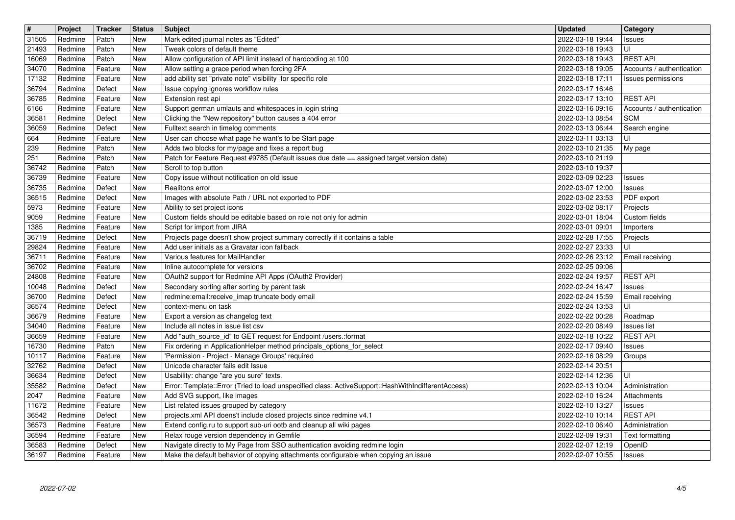| $\sqrt{t}$     | Project            | Tracker            | <b>Status</b>            | Subject                                                                                                                                                            | <b>Updated</b>                       | Category                                     |
|----------------|--------------------|--------------------|--------------------------|--------------------------------------------------------------------------------------------------------------------------------------------------------------------|--------------------------------------|----------------------------------------------|
| 31505<br>21493 | Redmine<br>Redmine | Patch<br>Patch     | New<br><b>New</b>        | Mark edited journal notes as "Edited"<br>Tweak colors of default theme                                                                                             | 2022-03-18 19:44<br>2022-03-18 19:43 | <b>Issues</b><br>UI                          |
| 16069          | Redmine            | Patch              | <b>New</b>               | Allow configuration of API limit instead of hardcoding at 100                                                                                                      | 2022-03-18 19:43                     | <b>REST API</b>                              |
| 34070          | Redmine            | Feature            | <b>New</b>               | Allow setting a grace period when forcing 2FA                                                                                                                      | 2022-03-18 19:05                     | Accounts / authentication                    |
| 17132          | Redmine            | Feature            | New                      | add ability set "private note" visibility for specific role                                                                                                        | 2022-03-18 17:11                     | Issues permissions                           |
| 36794          | Redmine            | Defect             | <b>New</b>               | Issue copying ignores workflow rules                                                                                                                               | 2022-03-17 16:46                     |                                              |
| 36785<br>6166  | Redmine<br>Redmine | Feature<br>Feature | <b>New</b><br>New        | Extension rest api<br>Support german umlauts and whitespaces in login string                                                                                       | 2022-03-17 13:10<br>2022-03-16 09:16 | <b>REST API</b><br>Accounts / authentication |
| 36581          | Redmine            | Defect             | <b>New</b>               | Clicking the "New repository" button causes a 404 error                                                                                                            | 2022-03-13 08:54                     | <b>SCM</b>                                   |
| 36059          | Redmine            | Defect             | <b>New</b>               | Fulltext search in timelog comments                                                                                                                                | 2022-03-13 06:44                     | Search engine                                |
| 664<br>239     | Redmine<br>Redmine | Feature<br>Patch   | <b>New</b><br><b>New</b> | User can choose what page he want's to be Start page<br>Adds two blocks for my/page and fixes a report bug                                                         | 2022-03-11 03:13<br>2022-03-10 21:35 | UI<br>My page                                |
| $\sqrt{251}$   | Redmine            | Patch              | <b>New</b>               | Patch for Feature Request #9785 (Default issues due date == assigned target version date)                                                                          | 2022-03-10 21:19                     |                                              |
| 36742          | Redmine            | Patch              | <b>New</b>               | Scroll to top button                                                                                                                                               | 2022-03-10 19:37                     |                                              |
| 36739          | Redmine            | Feature            | <b>New</b>               | Copy issue without notification on old issue                                                                                                                       | 2022-03-09 02:23                     | Issues                                       |
| 36735<br>36515 | Redmine<br>Redmine | Defect<br>Defect   | New<br>New               | Realitons error<br>Images with absolute Path / URL not exported to PDF                                                                                             | 2022-03-07 12:00<br>2022-03-02 23:53 | <b>Issues</b><br>PDF export                  |
| 5973           | Redmine            | Feature            | New                      | Ability to set project icons                                                                                                                                       | 2022-03-02 08:17                     | Projects                                     |
| 9059           | Redmine            | Feature            | <b>New</b>               | Custom fields should be editable based on role not only for admin                                                                                                  | 2022-03-01 18:04                     | Custom fields                                |
| 1385<br>36719  | Redmine<br>Redmine | Feature<br>Defect  | <b>New</b><br><b>New</b> | Script for import from JIRA<br>Projects page doesn't show project summary correctly if it contains a table                                                         | 2022-03-01 09:01<br>2022-02-28 17:55 | Importers<br>Projects                        |
| 29824          | Redmine            | Feature            | <b>New</b>               | Add user initials as a Gravatar icon fallback                                                                                                                      | 2022-02-27 23:33                     | UI                                           |
| 36711          | Redmine            | Feature            | <b>New</b>               | Various features for MailHandler                                                                                                                                   | 2022-02-26 23:12                     | Email receiving                              |
| 36702<br>24808 | Redmine<br>Redmine | Feature<br>Feature | New<br>New               | Inline autocomplete for versions<br>OAuth2 support for Redmine API Apps (OAuth2 Provider)                                                                          | 2022-02-25 09:06<br>2022-02-24 19:57 | <b>REST API</b>                              |
| 10048          | Redmine            | Defect             | New                      | Secondary sorting after sorting by parent task                                                                                                                     | 2022-02-24 16:47                     | <b>Issues</b>                                |
| 36700          | Redmine            | Defect             | New                      | redmine:email:receive_imap truncate body email                                                                                                                     | 2022-02-24 15:59                     | <b>Email receiving</b>                       |
| 36574          | Redmine            | Defect             | <b>New</b>               | context-menu on task                                                                                                                                               | 2022-02-24 13:53                     | UI                                           |
| 36679<br>34040 | Redmine<br>Redmine | Feature<br>Feature | New<br><b>New</b>        | Export a version as changelog text<br>Include all notes in issue list csv                                                                                          | 2022-02-22 00:28<br>2022-02-20 08:49 | Roadmap<br><b>Issues list</b>                |
| 36659          | Redmine            | Feature            | <b>New</b>               | Add "auth_source_id" to GET request for Endpoint /users.:format                                                                                                    | 2022-02-18 10:22                     | <b>REST API</b>                              |
| 16730          | Redmine            | Patch              | <b>New</b>               | Fix ordering in ApplicationHelper method principals_options_for_select                                                                                             | 2022-02-17 09:40                     | <b>Issues</b>                                |
| 10117          | Redmine            | Feature            | <b>New</b>               | 'Permission - Project - Manage Groups' required<br>Unicode character fails edit Issue                                                                              | 2022-02-16 08:29                     | Groups                                       |
| 32762<br>36634 | Redmine<br>Redmine | Defect<br>Defect   | <b>New</b><br><b>New</b> | Usability: change "are you sure" texts.                                                                                                                            | 2022-02-14 20:51<br>2022-02-14 12:36 | UI                                           |
| 35582          | Redmine            | Defect             | New                      | Error: Template::Error (Tried to load unspecified class: ActiveSupport::HashWithIndifferentAccess)                                                                 | 2022-02-13 10:04                     | Administration                               |
| 2047           | Redmine            | Feature            | New                      | Add SVG support, like images                                                                                                                                       | 2022-02-10 16:24                     | Attachments                                  |
| 11672<br>36542 | Redmine<br>Redmine | Feature<br>Defect  | New<br>New               | List related issues grouped by category<br>projects.xml API doens't include closed projects since redmine v4.1                                                     | 2022-02-10 13:27<br>2022-02-10 10:14 | Issues<br><b>REST API</b>                    |
| 36573          | Redmine            | Feature            | <b>New</b>               | Extend config.ru to support sub-uri ootb and cleanup all wiki pages                                                                                                | 2022-02-10 06:40                     | Administration                               |
| 36594          | Redmine            | Feature            | New                      | Relax rouge version dependency in Gemfile                                                                                                                          | 2022-02-09 19:31                     | Text formatting                              |
| 36583<br>36197 | Redmine<br>Redmine | Defect<br>Feature  | New<br><b>New</b>        | Navigate directly to My Page from SSO authentication avoiding redmine login<br>Make the default behavior of copying attachments configurable when copying an issue | 2022-02-07 12:19<br>2022-02-07 10:55 | OpenID<br>Issues                             |
|                |                    |                    |                          |                                                                                                                                                                    |                                      |                                              |
|                |                    |                    |                          |                                                                                                                                                                    |                                      |                                              |
|                |                    |                    |                          |                                                                                                                                                                    |                                      |                                              |
|                |                    |                    |                          |                                                                                                                                                                    |                                      |                                              |
|                |                    |                    |                          |                                                                                                                                                                    |                                      |                                              |
|                |                    |                    |                          |                                                                                                                                                                    |                                      |                                              |
|                |                    |                    |                          |                                                                                                                                                                    |                                      |                                              |
|                |                    |                    |                          |                                                                                                                                                                    |                                      |                                              |
|                |                    |                    |                          |                                                                                                                                                                    |                                      |                                              |
|                |                    |                    |                          |                                                                                                                                                                    |                                      |                                              |
|                |                    |                    |                          |                                                                                                                                                                    |                                      |                                              |
|                |                    |                    |                          |                                                                                                                                                                    |                                      |                                              |
|                |                    |                    |                          |                                                                                                                                                                    |                                      |                                              |
|                |                    |                    |                          |                                                                                                                                                                    |                                      |                                              |